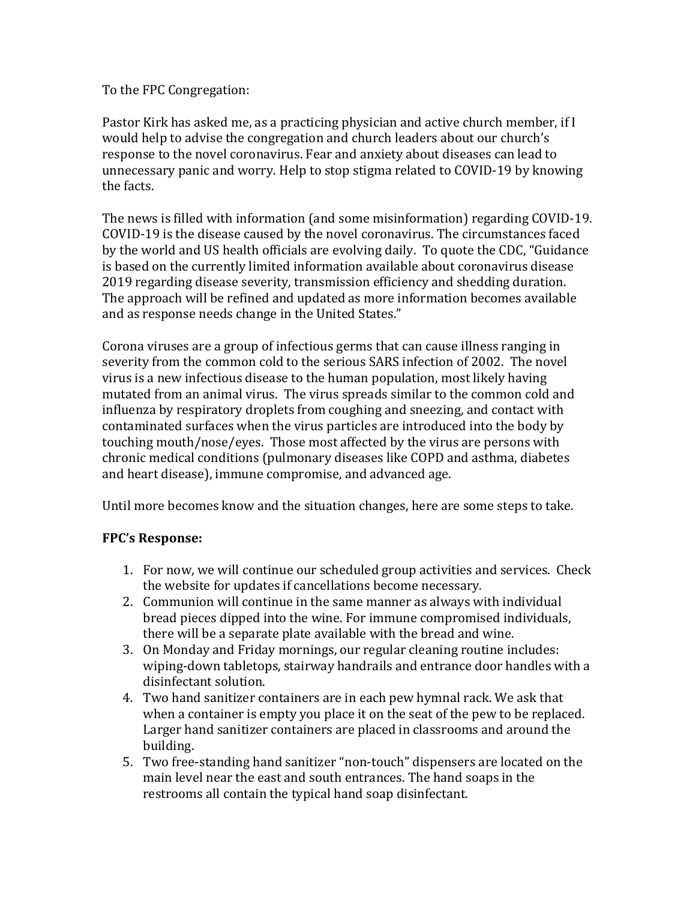To the FPC Congregation:

Pastor Kirk has asked me, as a practicing physician and active church member, if I would help to advise the congregation and church leaders about our church's response to the novel coronavirus. Fear and anxiety about diseases can lead to unnecessary panic and worry. Help to stop stigma related to COVID-19 by knowing the facts.

The news is filled with information (and some misinformation) regarding COVID-19. COVID-19 is the disease caused by the novel coronavirus. The circumstances faced by the world and US health officials are evolving daily. To quote the CDC, "Guidance is based on the currently limited information available about coronavirus disease 2019 regarding disease severity, transmission efficiency and shedding duration. The approach will be refined and updated as more information becomes available and as response needs change in the United States."

Corona viruses are a group of infectious germs that can cause illness ranging in severity from the common cold to the serious SARS infection of 2002. The novel virus is a new infectious disease to the human population, most likely having mutated from an animal virus. The virus spreads similar to the common cold and influenza by respiratory droplets from coughing and sneezing, and contact with contaminated surfaces when the virus particles are introduced into the body by touching mouth/nose/eyes. Those most affected by the virus are persons with chronic medical conditions (pulmonary diseases like COPD and asthma, diabetes and heart disease), immune compromise, and advanced age.

Until more becomes know and the situation changes, here are some steps to take.

## **FPC's Response:**

- 1. For now, we will continue our scheduled group activities and services. Check the website for updates if cancellations become necessary.
- 2. Communion will continue in the same manner as always with individual bread pieces dipped into the wine. For immune compromised individuals, there will be a separate plate available with the bread and wine.
- 3. On Monday and Friday mornings, our regular cleaning routine includes: wiping-down tabletops, stairway handrails and entrance door handles with a disinfectant solution.
- 4. Two hand sanitizer containers are in each pew hymnal rack. We ask that when a container is empty you place it on the seat of the pew to be replaced. Larger hand sanitizer containers are placed in classrooms and around the building.
- 5. Two free-standing hand sanitizer "non-touch" dispensers are located on the main level near the east and south entrances. The hand soaps in the restrooms all contain the typical hand soap disinfectant.